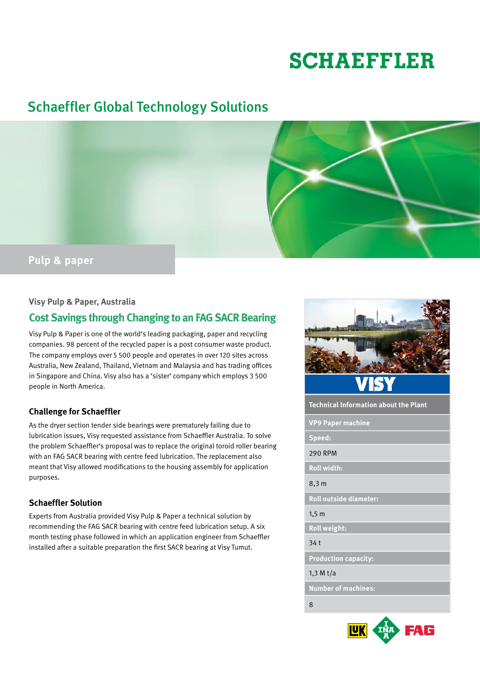# **SCHAEFFLER**

# Schaeffler Global Technology Solutions



### **Visy Pulp & Paper, Australia**

## **Cost Savings through Changing to an FAG SACR Bearing**

Visy Pulp & Paper is one of the world's leading packaging, paper and recycling companies. 98 percent of the recycled paper is a post consumer waste product. The company employs over 5 500 people and operates in over 120 sites across Australia, New Zealand, Thailand, Vietnam and Malaysia and has trading offices in Singapore and China. Visy also has a 'sister' company which employs 3 500 people in North America.

#### **Challenge for Schaeffler**

As the dryer section tender side bearings were prematurely failing due to lubrication issues, Visy requested assistance from Schaeffler Australia. To solve the problem Schaeffler's proposal was to replace the original toroid roller bearing with an FAG SACR bearing with centre feed lubrication. The replacement also meant that Visy allowed modifications to the housing assembly for application purposes.

#### **Schaeffler Solution**

Experts from Australia provided Visy Pulp & Paper a technical solution by recommending the FAG SACR bearing with centre feed lubrication setup. A six month testing phase followed in which an application engineer from Schaeffler installed after a suitable preparation the first SACR bearing at Visy Tumut.



**Technical Information about the Plant**

**VP9 Paper machine**

**Speed:**

#### 290 RPM

**Roll width:**

8,3 m

**Roll outside diameter:**

1,5 m

**Roll weight:**

34 t

**Production capacity:**

#### 1,3 M t/a

**Number of machines:**

8